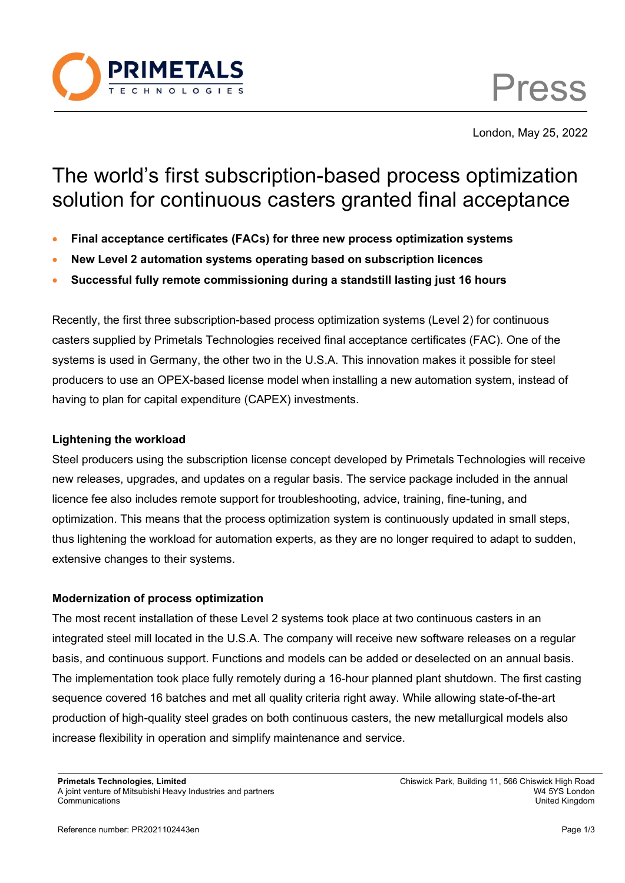

Press

London, May 25, 2022

# The world's first subscription-based process optimization solution for continuous casters granted final acceptance

- **Final acceptance certificates (FACs) for three new process optimization systems**
- **New Level 2 automation systems operating based on subscription licences**
- **Successful fully remote commissioning during a standstill lasting just 16 hours**

Recently, the first three subscription-based process optimization systems (Level 2) for continuous casters supplied by Primetals Technologies received final acceptance certificates (FAC). One of the systems is used in Germany, the other two in the U.S.A. This innovation makes it possible for steel producers to use an OPEX-based license model when installing a new automation system, instead of having to plan for capital expenditure (CAPEX) investments.

## **Lightening the workload**

Steel producers using the subscription license concept developed by Primetals Technologies will receive new releases, upgrades, and updates on a regular basis. The service package included in the annual licence fee also includes remote support for troubleshooting, advice, training, fine-tuning, and optimization. This means that the process optimization system is continuously updated in small steps, thus lightening the workload for automation experts, as they are no longer required to adapt to sudden, extensive changes to their systems.

# **Modernization of process optimization**

The most recent installation of these Level 2 systems took place at two continuous casters in an integrated steel mill located in the U.S.A. The company will receive new software releases on a regular basis, and continuous support. Functions and models can be added or deselected on an annual basis. The implementation took place fully remotely during a 16-hour planned plant shutdown. The first casting sequence covered 16 batches and met all quality criteria right away. While allowing state-of-the-art production of high-quality steel grades on both continuous casters, the new metallurgical models also increase flexibility in operation and simplify maintenance and service.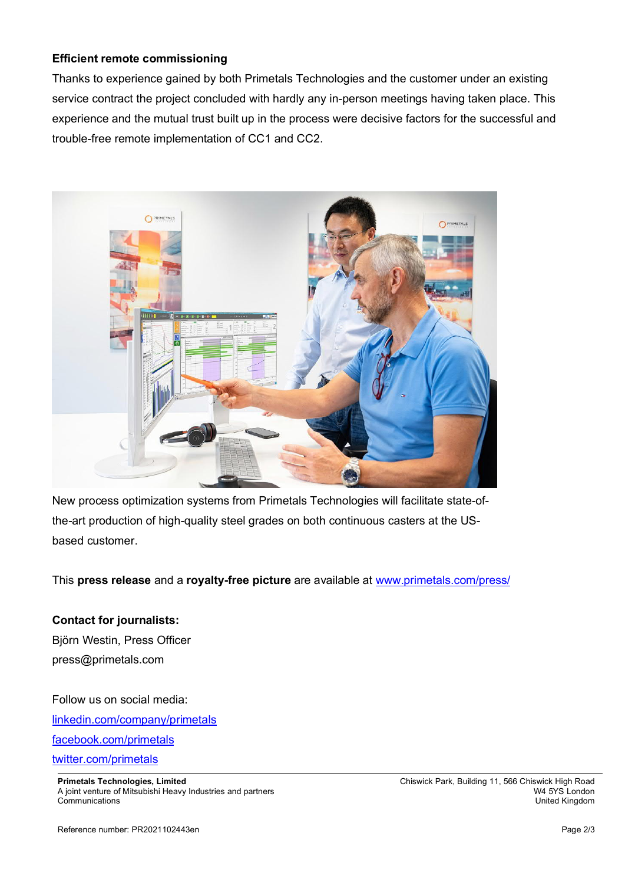## **Efficient remote commissioning**

Thanks to experience gained by both Primetals Technologies and the customer under an existing service contract the project concluded with hardly any in-person meetings having taken place. This experience and the mutual trust built up in the process were decisive factors for the successful and trouble-free remote implementation of CC1 and CC2.



New process optimization systems from Primetals Technologies will facilitate state-ofthe-art production of high-quality steel grades on both continuous casters at the USbased customer.

This **press release** and a **royalty-free picture** are available at www.primetals.com/press/

#### **Contact for journalists:**

Björn Westin, Press Officer press@primetals.com

Follow us on social media: linkedin.com/company/primetals facebook.com/primetals twitter.com/primetals

**Primetals Technologies, Limited Chief Road Chief Chiswick Park, Building 11, 566 Chiswick High Road Chief Road** A joint venture of Mitsubishi Heavy Industries and partners W4 5YS London Communications